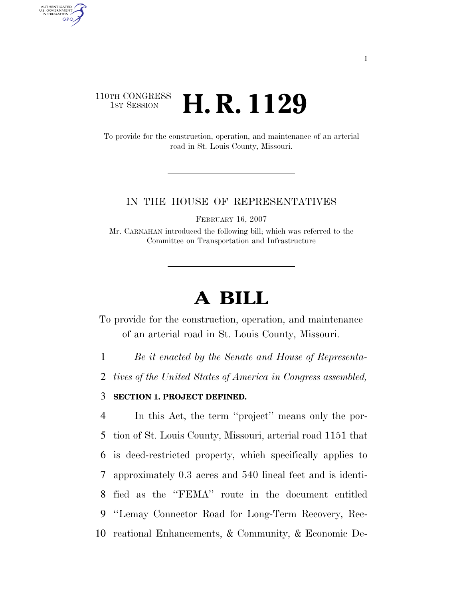# 110TH CONGRESS **1st Session H. R. 1129**

AUTHENTICATED<br>U.S. GOVERNMENT<br>INFORMATION **GPO** 

> To provide for the construction, operation, and maintenance of an arterial road in St. Louis County, Missouri.

#### IN THE HOUSE OF REPRESENTATIVES

FEBRUARY 16, 2007

Mr. CARNAHAN introduced the following bill; which was referred to the Committee on Transportation and Infrastructure

# **A BILL**

To provide for the construction, operation, and maintenance of an arterial road in St. Louis County, Missouri.

1 *Be it enacted by the Senate and House of Representa-*

2 *tives of the United States of America in Congress assembled,* 

# 3 **SECTION 1. PROJECT DEFINED.**

 In this Act, the term ''project'' means only the por- tion of St. Louis County, Missouri, arterial road 1151 that is deed-restricted property, which specifically applies to approximately 0.3 acres and 540 lineal feet and is identi- fied as the ''FEMA'' route in the document entitled ''Lemay Connector Road for Long-Term Recovery, Rec-reational Enhancements, & Community, & Economic De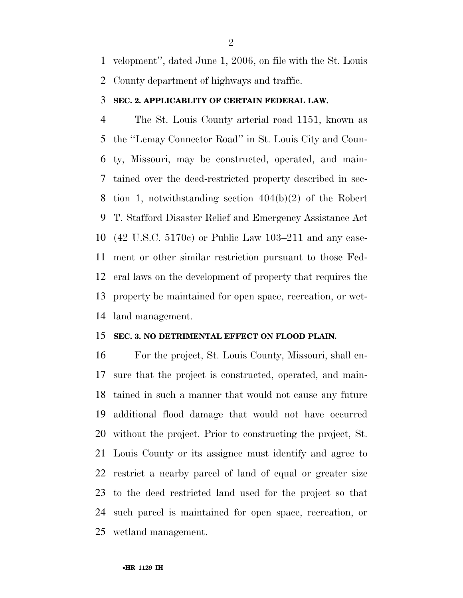velopment'', dated June 1, 2006, on file with the St. Louis County department of highways and traffic.

#### **SEC. 2. APPLICABLITY OF CERTAIN FEDERAL LAW.**

 The St. Louis County arterial road 1151, known as the ''Lemay Connector Road'' in St. Louis City and Coun- ty, Missouri, may be constructed, operated, and main- tained over the deed-restricted property described in sec- tion 1, notwithstanding section 404(b)(2) of the Robert T. Stafford Disaster Relief and Emergency Assistance Act (42 U.S.C. 5170c) or Public Law 103–211 and any ease- ment or other similar restriction pursuant to those Fed- eral laws on the development of property that requires the property be maintained for open space, recreation, or wet-land management.

# **SEC. 3. NO DETRIMENTAL EFFECT ON FLOOD PLAIN.**

 For the project, St. Louis County, Missouri, shall en- sure that the project is constructed, operated, and main- tained in such a manner that would not cause any future additional flood damage that would not have occurred without the project. Prior to constructing the project, St. Louis County or its assignee must identify and agree to restrict a nearby parcel of land of equal or greater size to the deed restricted land used for the project so that such parcel is maintained for open space, recreation, or wetland management.